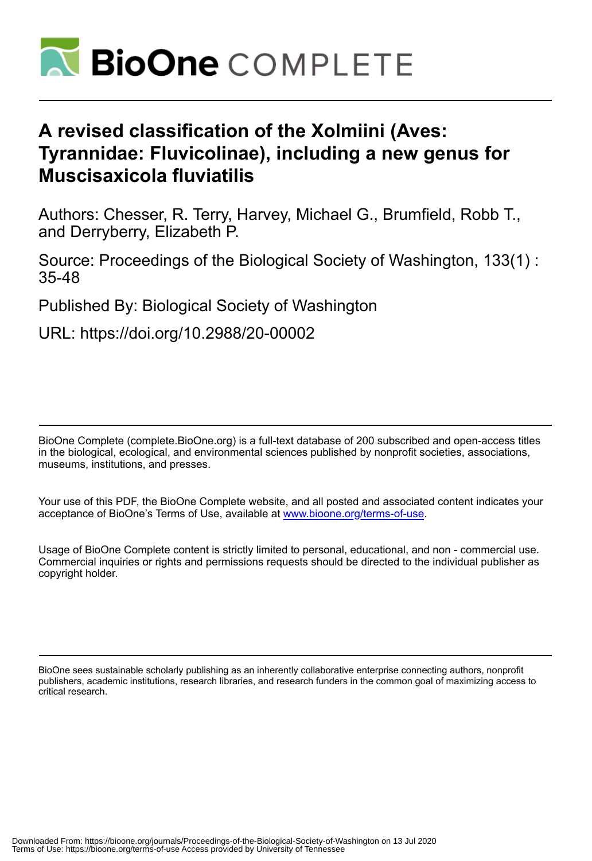

# **A revised classification of the Xolmiini (Aves: Tyrannidae: Fluvicolinae), including a new genus for Muscisaxicola fluviatilis**

Authors: Chesser, R. Terry, Harvey, Michael G., Brumfield, Robb T., and Derryberry, Elizabeth P.

Source: Proceedings of the Biological Society of Washington, 133(1) : 35-48

Published By: Biological Society of Washington

URL: https://doi.org/10.2988/20-00002

BioOne Complete (complete.BioOne.org) is a full-text database of 200 subscribed and open-access titles in the biological, ecological, and environmental sciences published by nonprofit societies, associations, museums, institutions, and presses.

Your use of this PDF, the BioOne Complete website, and all posted and associated content indicates your acceptance of BioOne's Terms of Use, available at www.bioone.org/terms-of-use.

Usage of BioOne Complete content is strictly limited to personal, educational, and non - commercial use. Commercial inquiries or rights and permissions requests should be directed to the individual publisher as copyright holder.

BioOne sees sustainable scholarly publishing as an inherently collaborative enterprise connecting authors, nonprofit publishers, academic institutions, research libraries, and research funders in the common goal of maximizing access to critical research.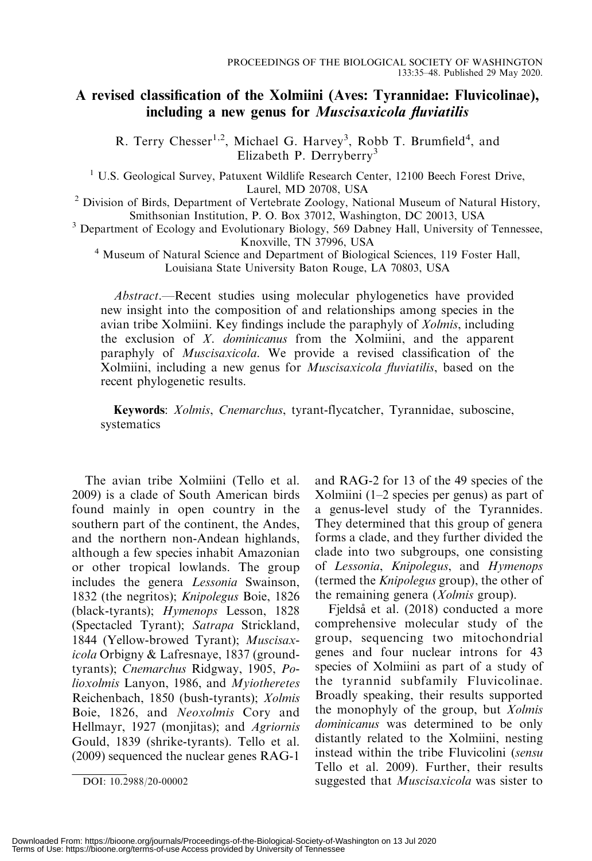## A revised classification of the Xolmiini (Aves: Tyrannidae: Fluvicolinae), including a new genus for Muscisaxicola fluviatilis

R. Terry Chesser<sup>1,2</sup>, Michael G. Harvey<sup>3</sup>, Robb T. Brumfield<sup>4</sup>, and Elizabeth P. Derryberry<sup>3</sup>

<sup>1</sup> U.S. Geological Survey, Patuxent Wildlife Research Center, 12100 Beech Forest Drive,

Laurel, MD 20708, USA<br><sup>2</sup> Division of Birds, Department of Vertebrate Zoology, National Museum of Natural History,<br>Smithsonian Institution, P. O. Box 37012, Washington, DC 20013, USA

<sup>3</sup> Department of Ecology and Evolutionary Biology, 569 Dabney Hall, University of Tennessee,<br>Knoxville, TN 37996, USA

<sup>4</sup> Museum of Natural Science and Department of Biological Sciences, 119 Foster Hall, Louisiana State University Baton Rouge, LA 70803, USA

Abstract.—Recent studies using molecular phylogenetics have provided new insight into the composition of and relationships among species in the avian tribe Xolmiini. Key findings include the paraphyly of Xolmis, including the exclusion of  $X$ . *dominicanus* from the Xolmiini, and the apparent paraphyly of Muscisaxicola. We provide a revised classification of the Xolmiini, including a new genus for Muscisaxicola fluviatilis, based on the recent phylogenetic results.

Keywords: Xolmis, Cnemarchus, tyrant-flycatcher, Tyrannidae, suboscine, systematics

The avian tribe Xolmiini (Tello et al. 2009) is a clade of South American birds found mainly in open country in the southern part of the continent, the Andes, and the northern non-Andean highlands, although a few species inhabit Amazonian or other tropical lowlands. The group includes the genera Lessonia Swainson, 1832 (the negritos); Knipolegus Boie, 1826 (black-tyrants); Hymenops Lesson, 1828 (Spectacled Tyrant); Satrapa Strickland, 1844 (Yellow-browed Tyrant); Muscisaxicola Orbigny & Lafresnaye, 1837 (groundtyrants); Cnemarchus Ridgway, 1905, Polioxolmis Lanyon, 1986, and Myiotheretes Reichenbach, 1850 (bush-tyrants); Xolmis Boie, 1826, and Neoxolmis Cory and Hellmayr, 1927 (monjitas); and Agriornis Gould, 1839 (shrike-tyrants). Tello et al. (2009) sequenced the nuclear genes RAG-1

and RAG-2 for 13 of the 49 species of the Xolmiini (1–2 species per genus) as part of a genus-level study of the Tyrannides. They determined that this group of genera forms a clade, and they further divided the clade into two subgroups, one consisting of Lessonia, Knipolegus, and Hymenops (termed the Knipolegus group), the other of the remaining genera (Xolmis group).

Fjeldså et al. (2018) conducted a more comprehensive molecular study of the group, sequencing two mitochondrial genes and four nuclear introns for 43 species of Xolmiini as part of a study of the tyrannid subfamily Fluvicolinae. Broadly speaking, their results supported the monophyly of the group, but Xolmis dominicanus was determined to be only distantly related to the Xolmiini, nesting instead within the tribe Fluvicolini (sensu Tello et al. 2009). Further, their results DOI: 10.2988/20-00002 suggested that *Muscisaxicola* was sister to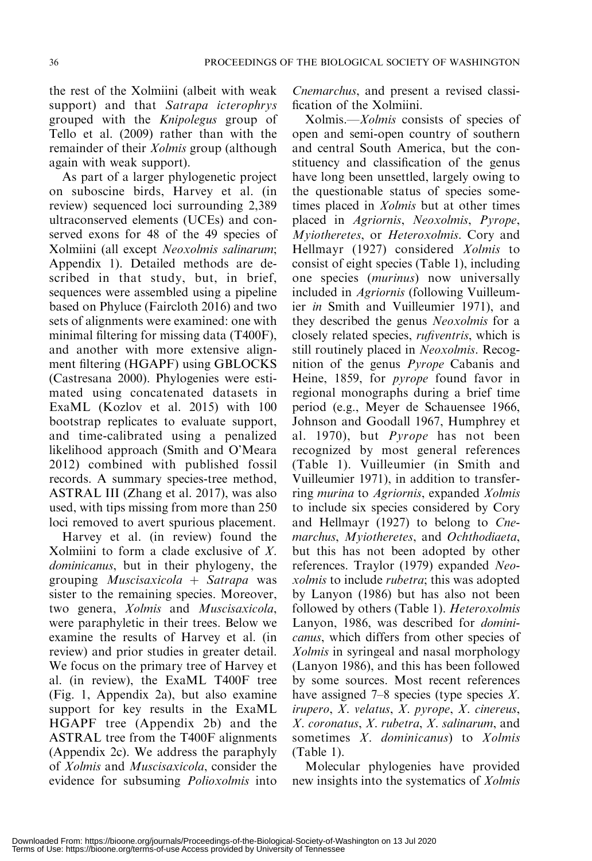the rest of the Xolmiini (albeit with weak support) and that Satrapa icterophrys grouped with the Knipolegus group of Tello et al. (2009) rather than with the remainder of their *Xolmis* group (although again with weak support).

As part of a larger phylogenetic project on suboscine birds, Harvey et al. (in review) sequenced loci surrounding 2,389 ultraconserved elements (UCEs) and conserved exons for 48 of the 49 species of Xolmiini (all except Neoxolmis salinarum; Appendix 1). Detailed methods are described in that study, but, in brief, sequences were assembled using a pipeline based on Phyluce (Faircloth 2016) and two sets of alignments were examined: one with minimal filtering for missing data (T400F), and another with more extensive alignment filtering (HGAPF) using GBLOCKS (Castresana 2000). Phylogenies were estimated using concatenated datasets in ExaML (Kozlov et al. 2015) with 100 bootstrap replicates to evaluate support, and time-calibrated using a penalized likelihood approach (Smith and O'Meara 2012) combined with published fossil records. A summary species-tree method, ASTRAL III (Zhang et al. 2017), was also used, with tips missing from more than 250 loci removed to avert spurious placement.

Harvey et al. (in review) found the Xolmiini to form a clade exclusive of X. dominicanus, but in their phylogeny, the grouping *Muscisaxicola* + Satrapa was sister to the remaining species. Moreover, two genera, Xolmis and Muscisaxicola, were paraphyletic in their trees. Below we examine the results of Harvey et al. (in review) and prior studies in greater detail. We focus on the primary tree of Harvey et al. (in review), the ExaML T400F tree (Fig. 1, Appendix 2a), but also examine support for key results in the ExaML HGAPF tree (Appendix 2b) and the ASTRAL tree from the T400F alignments (Appendix 2c). We address the paraphyly of Xolmis and Muscisaxicola, consider the evidence for subsuming Polioxolmis into Cnemarchus, and present a revised classification of the Xolmiini.

Xolmis.—Xolmis consists of species of open and semi-open country of southern and central South America, but the constituency and classification of the genus have long been unsettled, largely owing to the questionable status of species sometimes placed in Xolmis but at other times placed in Agriornis, Neoxolmis, Pyrope, Myiotheretes, or Heteroxolmis. Cory and Hellmayr (1927) considered Xolmis to consist of eight species (Table 1), including one species (murinus) now universally included in Agriornis (following Vuilleumier in Smith and Vuilleumier 1971), and they described the genus Neoxolmis for a closely related species, rufiventris, which is still routinely placed in Neoxolmis. Recognition of the genus Pyrope Cabanis and Heine, 1859, for pyrope found favor in regional monographs during a brief time period (e.g., Meyer de Schauensee 1966, Johnson and Goodall 1967, Humphrey et al. 1970), but Pyrope has not been recognized by most general references (Table 1). Vuilleumier (in Smith and Vuilleumier 1971), in addition to transferring murina to Agriornis, expanded Xolmis to include six species considered by Cory and Hellmayr (1927) to belong to Cnemarchus, Myiotheretes, and Ochthodiaeta, but this has not been adopted by other references. Traylor (1979) expanded Neoxolmis to include rubetra; this was adopted by Lanyon (1986) but has also not been followed by others (Table 1). Heteroxolmis Lanyon, 1986, was described for dominicanus, which differs from other species of Xolmis in syringeal and nasal morphology (Lanyon 1986), and this has been followed by some sources. Most recent references have assigned  $7-8$  species (type species X. irupero, X. velatus, X. pyrope, X. cinereus, X. coronatus, X. rubetra, X. salinarum, and sometimes X. dominicanus) to Xolmis (Table 1).

Molecular phylogenies have provided new insights into the systematics of Xolmis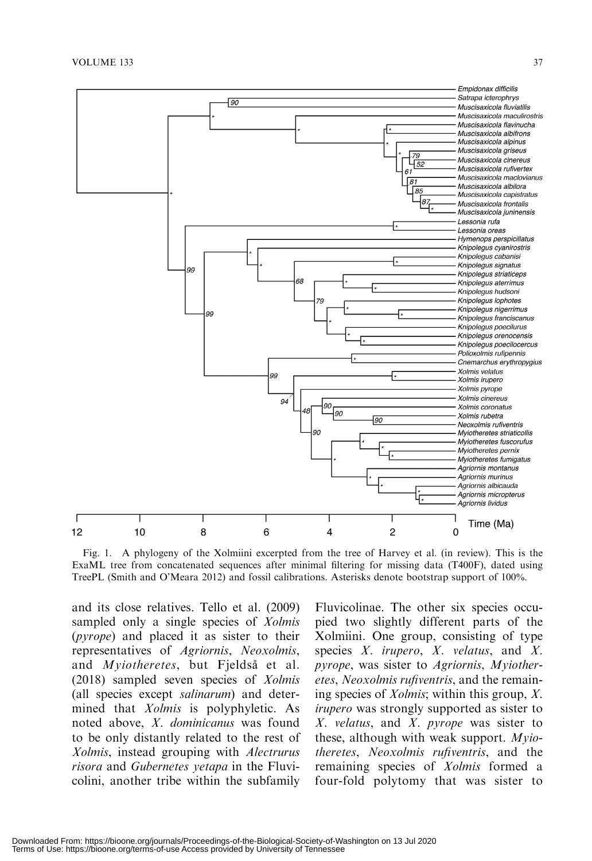



ExaML tree from concatenated sequences after minimal filtering for missing data (T400F), dated using TreePL (Smith and O'Meara 2012) and fossil calibrations. Asterisks denote bootstrap support of 100%.

and its close relatives. Tello et al. (2009) sampled only a single species of *Xolmis* (pyrope) and placed it as sister to their representatives of Agriornis, Neoxolmis, and Myiotheretes, but Fjeldså et al. (2018) sampled seven species of Xolmis (all species except salinarum) and determined that *Xolmis* is polyphyletic. As noted above, X. dominicanus was found to be only distantly related to the rest of Xolmis, instead grouping with Alectrurus risora and Gubernetes yetapa in the Fluvicolini, another tribe within the subfamily

Fluvicolinae. The other six species occupied two slightly different parts of the Xolmiini. One group, consisting of type species  $X$ . *irupero*,  $X$ . *velatus*, and  $X$ . pyrope, was sister to Agriornis, Myiotheretes, Neoxolmis rufiventris, and the remaining species of Xolmis; within this group, X. irupero was strongly supported as sister to  $X$ . velatus, and  $X$ . pyrope was sister to these, although with weak support.  $Mvio$ theretes, Neoxolmis rufiventris, and the remaining species of Xolmis formed a four-fold polytomy that was sister to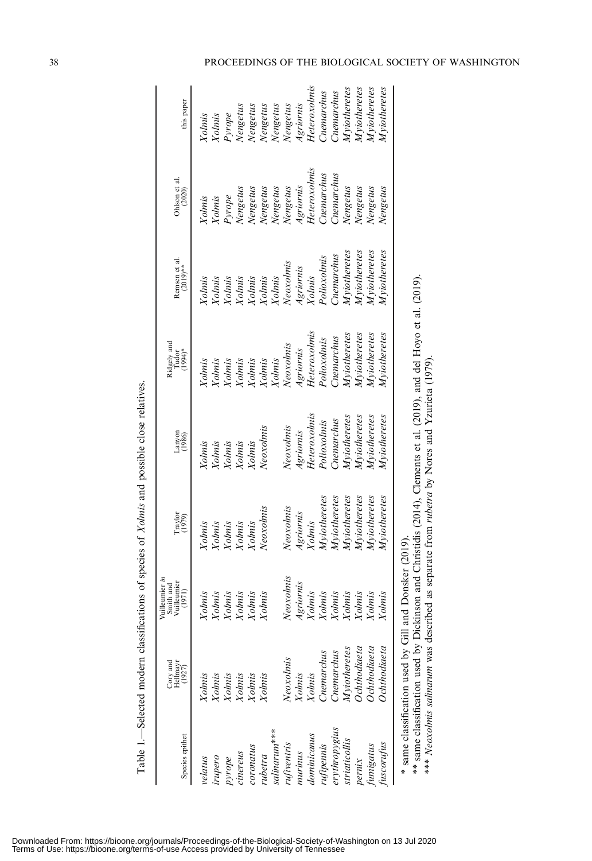| Species epithet    | Cory and<br>Hellmayr<br>(1927)                                                              | Vuilleumier in<br>Vuilleumier<br>Smith and<br>(1971) | Traylor<br>(1979)                                         | Lanyon<br>$(1986)$ | Ridgely and<br>Tudor<br>(1994)*                                                                                     | Remsen et al.<br>(2019)** | Ohlson et al.<br>$(2020)$ | this paper   |
|--------------------|---------------------------------------------------------------------------------------------|------------------------------------------------------|-----------------------------------------------------------|--------------------|---------------------------------------------------------------------------------------------------------------------|---------------------------|---------------------------|--------------|
| velatus            | <b>Xolnis</b>                                                                               | Xolmis                                               | Yolmis                                                    | Xolmis             | Yolmis                                                                                                              | Yolmis                    | Yolmis                    | Yolnis       |
| irupero            | Xolmis                                                                                      | <b>Xolmis</b>                                        | Xolmis                                                    | Xolnis             | <b>Xolmis</b>                                                                                                       | Yolnis                    | Xolmis                    | Xolmis       |
| pyrope             |                                                                                             | Xolmis                                               | Xolmis                                                    | Xolnis             | <b>Xolmis</b>                                                                                                       | <b>Yolnis</b>             |                           | Pyrope       |
| cinereus           | Xolmis<br>Xolmis<br>Xolmis                                                                  | Xolmis                                               | Xolmis                                                    | Xolnis             | <b>Yolmis</b>                                                                                                       | Yolnis                    | Pyrope<br>Nengetus        | Nengetus     |
| coronatus          |                                                                                             | <b>Xolmis</b>                                        | Xolmis                                                    | Xolnis             | Xolmis                                                                                                              | Xolmis                    | Nengetus                  | Nengetus     |
| $n$ betra          | Yolmis                                                                                      | <b>Xolmis</b>                                        | Neoxolmis                                                 | Neoxolmis          | Xolmis                                                                                                              | Xolmis                    | Nengetus                  | Nengetus     |
| $s$ alinarum $***$ |                                                                                             |                                                      |                                                           |                    | Xolmis                                                                                                              | Xolmis                    | Nengetus                  | Nengetus     |
| rufiventris        | Veoxolmis                                                                                   | Neoxolmis                                            | Neoxolmis                                                 | Neoxolmis          | Neoxolmis                                                                                                           | Neoxolmis                 | Nengetus                  | Nengetus     |
| nurinus            | Yolmis                                                                                      | Agriornis                                            | Agriornis                                                 | Agriornis          | Agriornis                                                                                                           | Agriornis                 | Agriornis                 | Agriornis    |
| dominicanus        | Xolmis                                                                                      | <b>Xolnis</b>                                        | Xolnis                                                    | Heteroxolmis       | Heteroxolmis                                                                                                        | Xolnis                    | Heteroxolmis              | Heteroxolmis |
| <i>rufipennis</i>  | <b>Inemarchus</b>                                                                           | Xolmis                                               | Myiotheretes                                              | Polioxolnis        | Polioxolmis                                                                                                         | Polioxolnis               | Cnemarchus                | Cnemarchus   |
| snigldouphia       | <b>Chemarchus</b>                                                                           | Xolmis                                               | Mviotheretes                                              | Cnemarchus         | Cnemarchus                                                                                                          | Cnemarchus                | Cnemarchus                | Cnemarchus   |
| striaticollis      | Myiotheretes                                                                                | Xolmis                                               | Myiotheretes                                              | Myiotheretes       | Myiotheretes                                                                                                        | Myiotheretes              | Nengetus                  | Myiotheretes |
| pernix             | $S$ chthodiaeta                                                                             | Xolmis                                               | Myiotheretes                                              | Myiotheretes       | Myiotheretes                                                                                                        | Myiotheretes              | Nengetus                  | Myiotheretes |
| funigatus          | <b>Ochthodiaeta</b>                                                                         | <b>Xolmis</b>                                        | Myiotheretes                                              | Myiotheretes       | Myiotheretes                                                                                                        | Myiotheretes              | Nengetus                  | Myiotheretes |
| uscorufus          | <b>Ochthodiaeta</b>                                                                         | <b>Xolmis</b>                                        | Myiotheretes                                              | $M$ yiotheretes    | Myiotheretes                                                                                                        | Myiotheretes              | Vengetus                  | Myiotheretes |
|                    | * same classification used by Gill and Donsker (2019)<br>*** Neoxolmis salinarum was descri |                                                      | bed as separate from rubetra by Nores and Yzurieta (1979) |                    | ** same classification used by Dickinson and Christidis (2014), Clements et al. (2019), and del Hoyo et al. (2019). |                           |                           |              |

Table 1.-Selected modern classifications of species of *Xolmis* and possible close relatives. Table 1.—Selected modern classifications of species of Xolmis and possible close relatives.

Downloaded From: https://bioone.org/journals/Proceedings-of-the-Biological-Society-of-Washington on 13 Jul 2020<br>Terms of Use: https://bioone.org/terms-of-use Access provided by University of Tennessee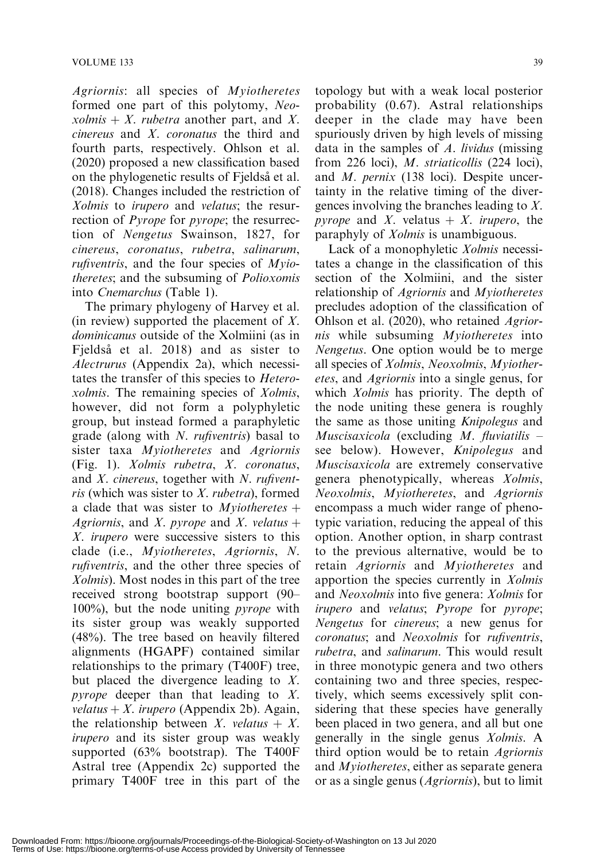Agriornis: all species of Myiotheretes formed one part of this polytomy, Neoxolmis  $+ X$ . rubetra another part, and X. cinereus and X. coronatus the third and fourth parts, respectively. Ohlson et al. (2020) proposed a new classification based on the phylogenetic results of Fjeldså et al. (2018). Changes included the restriction of Xolmis to irupero and velatus; the resurrection of *Pyrope* for *pyrope*; the resurrection of Nengetus Swainson, 1827, for cinereus, coronatus, rubetra, salinarum, *rufiventris*, and the four species of  $Mvio$ theretes; and the subsuming of Polioxomis into Cnemarchus (Table 1).

The primary phylogeny of Harvey et al. (in review) supported the placement of  $X$ . dominicanus outside of the Xolmiini (as in Fjeldså et al. 2018) and as sister to Alectrurus (Appendix 2a), which necessitates the transfer of this species to Heteroxolmis. The remaining species of Xolmis, however, did not form a polyphyletic group, but instead formed a paraphyletic grade (along with N. rufiventris) basal to sister taxa Myiotheretes and Agriornis (Fig. 1). Xolmis rubetra, X. coronatus, and  $X$ . cinereus, together with  $N$ . rufiventris (which was sister to X. rubetra), formed a clade that was sister to *Myiotheretes*  $+$ Agriornis, and X. pyrope and X. velatus  $+$ X. irupero were successive sisters to this clade (i.e., Myiotheretes, Agriornis, N. rufiventris, and the other three species of Xolmis). Most nodes in this part of the tree received strong bootstrap support (90– 100%), but the node uniting pyrope with its sister group was weakly supported (48%). The tree based on heavily filtered alignments (HGAPF) contained similar relationships to the primary (T400F) tree, but placed the divergence leading to X. pyrope deeper than that leading to X. velatus + X. irupero (Appendix 2b). Again, the relationship between X. velatus  $+ X$ . irupero and its sister group was weakly supported (63% bootstrap). The T400F Astral tree (Appendix 2c) supported the primary T400F tree in this part of the

topology but with a weak local posterior probability (0.67). Astral relationships deeper in the clade may have been spuriously driven by high levels of missing data in the samples of A. lividus (missing from 226 loci), M. striaticollis (224 loci), and M. pernix (138 loci). Despite uncertainty in the relative timing of the divergences involving the branches leading to X. *pyrope* and X. velatus  $+ X$ . *irupero*, the paraphyly of Xolmis is unambiguous.

Lack of a monophyletic Xolmis necessitates a change in the classification of this section of the Xolmiini, and the sister relationship of Agriornis and Myiotheretes precludes adoption of the classification of Ohlson et al. (2020), who retained Agriornis while subsuming Myiotheretes into Nengetus. One option would be to merge all species of Xolmis, Neoxolmis, Myiotheretes, and Agriornis into a single genus, for which *Xolmis* has priority. The depth of the node uniting these genera is roughly the same as those uniting Knipolegus and Muscisaxicola (excluding  $M$ . fluviatilis  $$ see below). However, *Knipolegus* and Muscisaxicola are extremely conservative genera phenotypically, whereas Xolmis, Neoxolmis, Myiotheretes, and Agriornis encompass a much wider range of phenotypic variation, reducing the appeal of this option. Another option, in sharp contrast to the previous alternative, would be to retain Agriornis and Myiotheretes and apportion the species currently in Xolmis and Neoxolmis into five genera: Xolmis for irupero and velatus; Pyrope for pyrope; Nengetus for cinereus; a new genus for coronatus; and Neoxolmis for rufiventris, rubetra, and salinarum. This would result in three monotypic genera and two others containing two and three species, respectively, which seems excessively split considering that these species have generally been placed in two genera, and all but one generally in the single genus Xolmis. A third option would be to retain Agriornis and Myiotheretes, either as separate genera or as a single genus (Agriornis), but to limit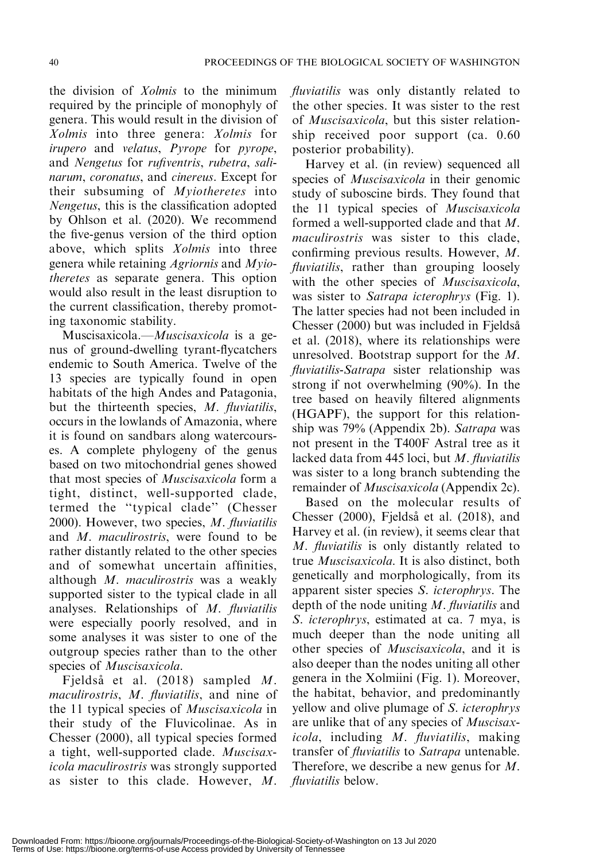the division of Xolmis to the minimum required by the principle of monophyly of genera. This would result in the division of Xolmis into three genera: Xolmis for irupero and velatus, Pyrope for pyrope, and Nengetus for rufiventris, rubetra, salinarum, coronatus, and cinereus. Except for their subsuming of Myiotheretes into Nengetus, this is the classification adopted by Ohlson et al. (2020). We recommend the five-genus version of the third option above, which splits *Xolmis* into three genera while retaining Agriornis and Myiotheretes as separate genera. This option would also result in the least disruption to the current classification, thereby promoting taxonomic stability.

Muscisaxicola.—Muscisaxicola is a genus of ground-dwelling tyrant-flycatchers endemic to South America. Twelve of the 13 species are typically found in open habitats of the high Andes and Patagonia, but the thirteenth species, M. fluviatilis, occurs in the lowlands of Amazonia, where it is found on sandbars along watercourses. A complete phylogeny of the genus based on two mitochondrial genes showed that most species of Muscisaxicola form a tight, distinct, well-supported clade, termed the ''typical clade'' (Chesser 2000). However, two species, M. fluviatilis and M. maculirostris, were found to be rather distantly related to the other species and of somewhat uncertain affinities, although M. maculirostris was a weakly supported sister to the typical clade in all analyses. Relationships of M. fluviatilis were especially poorly resolved, and in some analyses it was sister to one of the outgroup species rather than to the other species of Muscisaxicola.

Fjeldså et al. (2018) sampled M. maculirostris, M. fluviatilis, and nine of the 11 typical species of Muscisaxicola in their study of the Fluvicolinae. As in Chesser (2000), all typical species formed a tight, well-supported clade. Muscisaxicola maculirostris was strongly supported as sister to this clade. However, M. fluviatilis was only distantly related to the other species. It was sister to the rest of Muscisaxicola, but this sister relationship received poor support (ca. 0.60 posterior probability).

Harvey et al. (in review) sequenced all species of *Muscisaxicola* in their genomic study of suboscine birds. They found that the 11 typical species of Muscisaxicola formed a well-supported clade and that M. maculirostris was sister to this clade, confirming previous results. However, M. fluviatilis, rather than grouping loosely with the other species of *Muscisaxicola*, was sister to Satrapa icterophrys (Fig. 1). The latter species had not been included in Chesser (2000) but was included in Fjeldså et al. (2018), where its relationships were unresolved. Bootstrap support for the M. fluviatilis-Satrapa sister relationship was strong if not overwhelming (90%). In the tree based on heavily filtered alignments (HGAPF), the support for this relationship was 79% (Appendix 2b). Satrapa was not present in the T400F Astral tree as it lacked data from 445 loci, but  $M$ . fluviatilis was sister to a long branch subtending the remainder of Muscisaxicola (Appendix 2c).

Based on the molecular results of Chesser (2000), Fjeldså et al. (2018), and Harvey et al. (in review), it seems clear that M. fluviatilis is only distantly related to true Muscisaxicola. It is also distinct, both genetically and morphologically, from its apparent sister species S. icterophrys. The depth of the node uniting M. fluviatilis and S. icterophrys, estimated at ca. 7 mya, is much deeper than the node uniting all other species of Muscisaxicola, and it is also deeper than the nodes uniting all other genera in the Xolmiini (Fig. 1). Moreover, the habitat, behavior, and predominantly yellow and olive plumage of S. icterophrys are unlike that of any species of Muscisaxicola, including M. fluviatilis, making transfer of fluviatilis to Satrapa untenable. Therefore, we describe a new genus for M. fluviatilis below.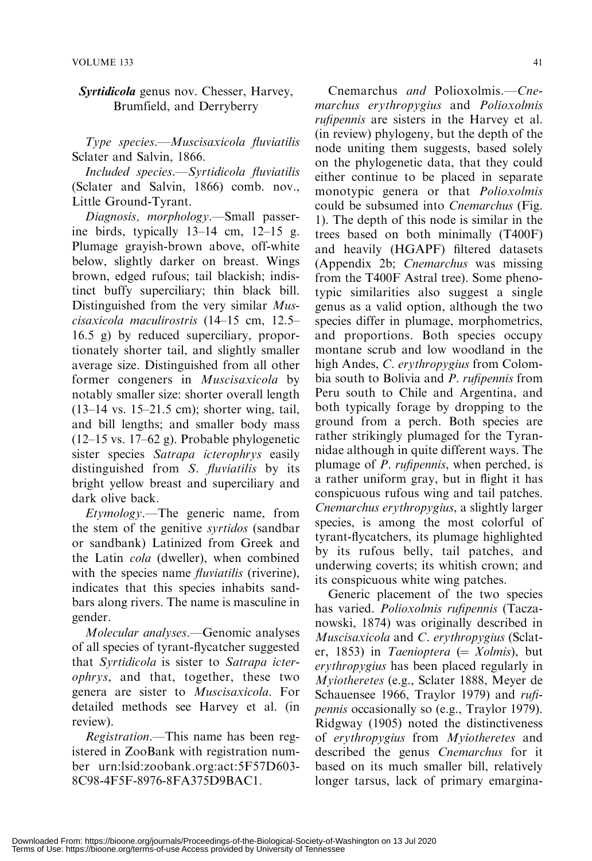### Syrtidicola genus nov. Chesser, Harvey, Brumfield, and Derryberry

Type species.—Muscisaxicola fluviatilis Sclater and Salvin, 1866.

Included species.—Syrtidicola fluviatilis (Sclater and Salvin, 1866) comb. nov., Little Ground-Tyrant.

Diagnosis, morphology.—Small passerine birds, typically 13–14 cm, 12–15 g. Plumage grayish-brown above, off-white below, slightly darker on breast. Wings brown, edged rufous; tail blackish; indistinct buffy superciliary; thin black bill. Distinguished from the very similar Muscisaxicola maculirostris (14–15 cm, 12.5– 16.5 g) by reduced superciliary, proportionately shorter tail, and slightly smaller average size. Distinguished from all other former congeners in Muscisaxicola by notably smaller size: shorter overall length (13–14 vs. 15–21.5 cm); shorter wing, tail, and bill lengths; and smaller body mass (12–15 vs. 17–62 g). Probable phylogenetic sister species Satrapa icterophrys easily distinguished from S. *fluviatilis* by its bright yellow breast and superciliary and dark olive back.

Etymology.—The generic name, from the stem of the genitive syrtidos (sandbar or sandbank) Latinized from Greek and the Latin cola (dweller), when combined with the species name *fluviatilis* (riverine), indicates that this species inhabits sandbars along rivers. The name is masculine in gender.

Molecular analyses.—Genomic analyses of all species of tyrant-flycatcher suggested that Syrtidicola is sister to Satrapa icterophrys, and that, together, these two genera are sister to Muscisaxicola. For detailed methods see Harvey et al. (in review).

Registration.—This name has been registered in ZooBank with registration number urn:lsid:zoobank.org:act:5F57D603- 8C98-4F5F-8976-8FA375D9BAC1.

Cnemarchus and Polioxolmis.—Cnemarchus erythropygius and Polioxolmis rufipennis are sisters in the Harvey et al. (in review) phylogeny, but the depth of the node uniting them suggests, based solely on the phylogenetic data, that they could either continue to be placed in separate monotypic genera or that Polioxolmis could be subsumed into Cnemarchus (Fig. 1). The depth of this node is similar in the trees based on both minimally (T400F) and heavily (HGAPF) filtered datasets (Appendix 2b; Cnemarchus was missing from the T400F Astral tree). Some phenotypic similarities also suggest a single genus as a valid option, although the two species differ in plumage, morphometrics, and proportions. Both species occupy montane scrub and low woodland in the high Andes, C. erythropygius from Colombia south to Bolivia and P. rufipennis from Peru south to Chile and Argentina, and both typically forage by dropping to the ground from a perch. Both species are rather strikingly plumaged for the Tyrannidae although in quite different ways. The plumage of *P. rufipennis*, when perched, is a rather uniform gray, but in flight it has conspicuous rufous wing and tail patches. Cnemarchus erythropygius, a slightly larger species, is among the most colorful of tyrant-flycatchers, its plumage highlighted by its rufous belly, tail patches, and underwing coverts; its whitish crown; and its conspicuous white wing patches.

Generic placement of the two species has varied. Polioxolmis rufipennis (Taczanowski, 1874) was originally described in Muscisaxicola and C. erythropygius (Sclater, 1853) in Taenioptera (=  $Xolmis$ ), but erythropygius has been placed regularly in Myiotheretes (e.g., Sclater 1888, Meyer de Schauensee 1966, Traylor 1979) and rufipennis occasionally so (e.g., Traylor 1979). Ridgway (1905) noted the distinctiveness of erythropygius from Myiotheretes and described the genus Cnemarchus for it based on its much smaller bill, relatively longer tarsus, lack of primary emargina-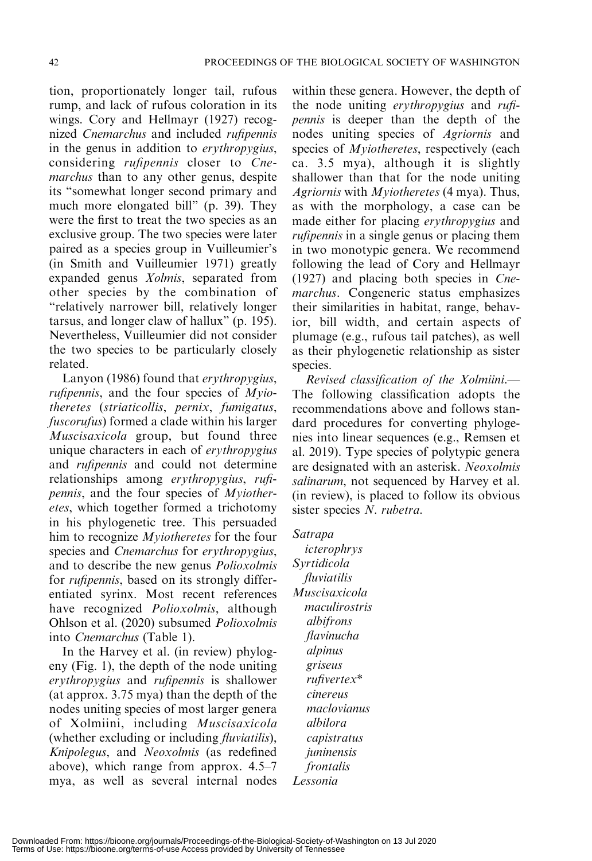tion, proportionately longer tail, rufous rump, and lack of rufous coloration in its wings. Cory and Hellmayr (1927) recognized Cnemarchus and included rufipennis in the genus in addition to erythropygius, considering rufipennis closer to Cnemarchus than to any other genus, despite its ''somewhat longer second primary and much more elongated bill'' (p. 39). They were the first to treat the two species as an exclusive group. The two species were later paired as a species group in Vuilleumier's (in Smith and Vuilleumier 1971) greatly expanded genus Xolmis, separated from other species by the combination of ''relatively narrower bill, relatively longer tarsus, and longer claw of hallux'' (p. 195). Nevertheless, Vuilleumier did not consider the two species to be particularly closely related.

Lanyon (1986) found that erythropygius, rufipennis, and the four species of Myiotheretes (striaticollis, pernix, fumigatus, fuscorufus) formed a clade within his larger Muscisaxicola group, but found three unique characters in each of erythropygius and rufipennis and could not determine relationships among erythropygius, rufipennis, and the four species of Myiotheretes, which together formed a trichotomy in his phylogenetic tree. This persuaded him to recognize Myiotheretes for the four species and *Cnemarchus* for *erythropygius*, and to describe the new genus Polioxolmis for rufipennis, based on its strongly differentiated syrinx. Most recent references have recognized *Polioxolmis*, although Ohlson et al. (2020) subsumed Polioxolmis into Cnemarchus (Table 1).

In the Harvey et al. (in review) phylogeny (Fig. 1), the depth of the node uniting erythropygius and rufipennis is shallower (at approx. 3.75 mya) than the depth of the nodes uniting species of most larger genera of Xolmiini, including Muscisaxicola (whether excluding or including fluviatilis), Knipolegus, and Neoxolmis (as redefined above), which range from approx. 4.5–7 mya, as well as several internal nodes within these genera. However, the depth of the node uniting erythropygius and rufipennis is deeper than the depth of the nodes uniting species of Agriornis and species of *Myiotheretes*, respectively (each ca. 3.5 mya), although it is slightly shallower than that for the node uniting Agriornis with Myiotheretes (4 mya). Thus, as with the morphology, a case can be made either for placing erythropygius and rufipennis in a single genus or placing them in two monotypic genera. We recommend following the lead of Cory and Hellmayr (1927) and placing both species in Cnemarchus. Congeneric status emphasizes their similarities in habitat, range, behavior, bill width, and certain aspects of plumage (e.g., rufous tail patches), as well as their phylogenetic relationship as sister species.

Revised classification of the Xolmiini.— The following classification adopts the recommendations above and follows standard procedures for converting phylogenies into linear sequences (e.g., Remsen et al. 2019). Type species of polytypic genera are designated with an asterisk. Neoxolmis salinarum, not sequenced by Harvey et al. (in review), is placed to follow its obvious sister species N. rubetra.

#### Satrapa

icterophrys Syrtidicola fluviatilis Muscisaxicola maculirostris albifrons flavinucha alpinus griseus rufivertex\* cinereus maclovianus albilora capistratus juninensis frontalis Lessonia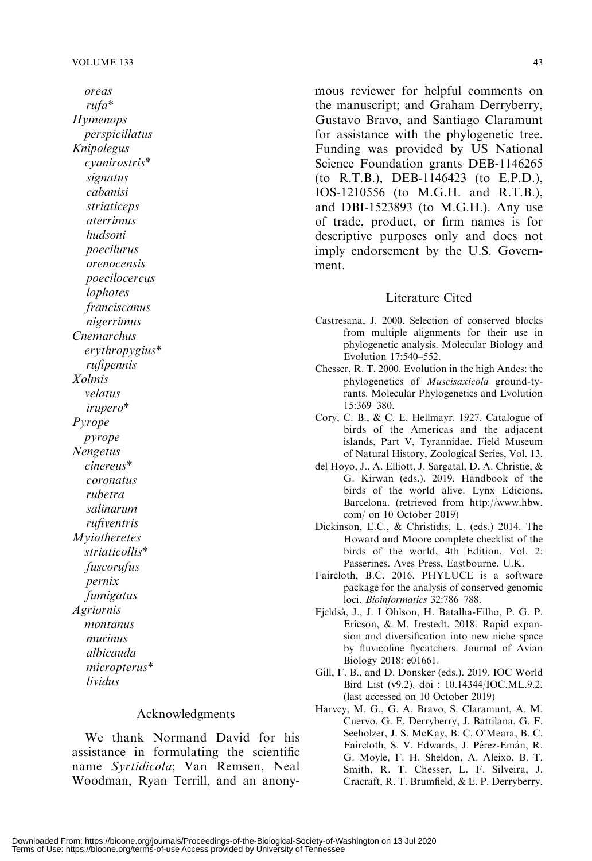oreas rufa\* Hymenops perspicillatus Knipolegus cyanirostris\* signatus cabanisi striaticeps aterrimus hudsoni poecilurus orenocensis poecilocercus lophotes franciscanus nigerrimus Cnemarchus erythropygius\* rufipennis Xolmis velatus irupero\* Pyrope pyrope Nengetus cinereus\* coronatus rubetra salinarum rufiventris **M**yiotheretes striaticollis\* fuscorufus pernix fumigatus Agriornis montanus murinus albicauda micropterus\* lividus

#### Acknowledgments

We thank Normand David for his assistance in formulating the scientific name Syrtidicola; Van Remsen, Neal Woodman, Ryan Terrill, and an anonymous reviewer for helpful comments on the manuscript; and Graham Derryberry, Gustavo Bravo, and Santiago Claramunt for assistance with the phylogenetic tree. Funding was provided by US National Science Foundation grants DEB-1146265 (to R.T.B.), DEB-1146423 (to E.P.D.), IOS-1210556 (to M.G.H. and R.T.B.), and DBI-1523893 (to M.G.H.). Any use of trade, product, or firm names is for descriptive purposes only and does not imply endorsement by the U.S. Government.

#### Literature Cited

- Castresana, J. 2000. Selection of conserved blocks from multiple alignments for their use in phylogenetic analysis. Molecular Biology and Evolution 17:540–552.
- Chesser, R. T. 2000. Evolution in the high Andes: the phylogenetics of Muscisaxicola ground-tyrants. Molecular Phylogenetics and Evolution 15:369–380.
- Cory, C. B., & C. E. Hellmayr. 1927. Catalogue of birds of the Americas and the adjacent islands, Part V, Tyrannidae. Field Museum of Natural History, Zoological Series, Vol. 13.
- del Hoyo, J., A. Elliott, J. Sargatal, D. A. Christie, & G. Kirwan (eds.). 2019. Handbook of the birds of the world alive. Lynx Edicions, Barcelona. (retrieved from http://www.hbw. com/ on 10 October 2019)
- Dickinson, E.C., & Christidis, L. (eds.) 2014. The Howard and Moore complete checklist of the birds of the world, 4th Edition, Vol. 2: Passerines. Aves Press, Eastbourne, U.K.
- Faircloth, B.C. 2016. PHYLUCE is a software package for the analysis of conserved genomic loci. Bioinformatics 32:786–788.
- Fjeldså, J., J. I Ohlson, H. Batalha-Filho, P. G. P. Ericson, & M. Irestedt. 2018. Rapid expansion and diversification into new niche space by fluvicoline flycatchers. Journal of Avian Biology 2018: e01661.
- Gill, F. B., and D. Donsker (eds.). 2019. IOC World Bird List (v9.2). doi : 10.14344/IOC.ML.9.2. (last accessed on 10 October 2019)
- Harvey, M. G., G. A. Bravo, S. Claramunt, A. M. Cuervo, G. E. Derryberry, J. Battilana, G. F. Seeholzer, J. S. McKay, B. C. O'Meara, B. C. Faircloth, S. V. Edwards, J. Pérez-Emán, R. G. Moyle, F. H. Sheldon, A. Aleixo, B. T. Smith, R. T. Chesser, L. F. Silveira, J. Cracraft, R. T. Brumfield, & E. P. Derryberry.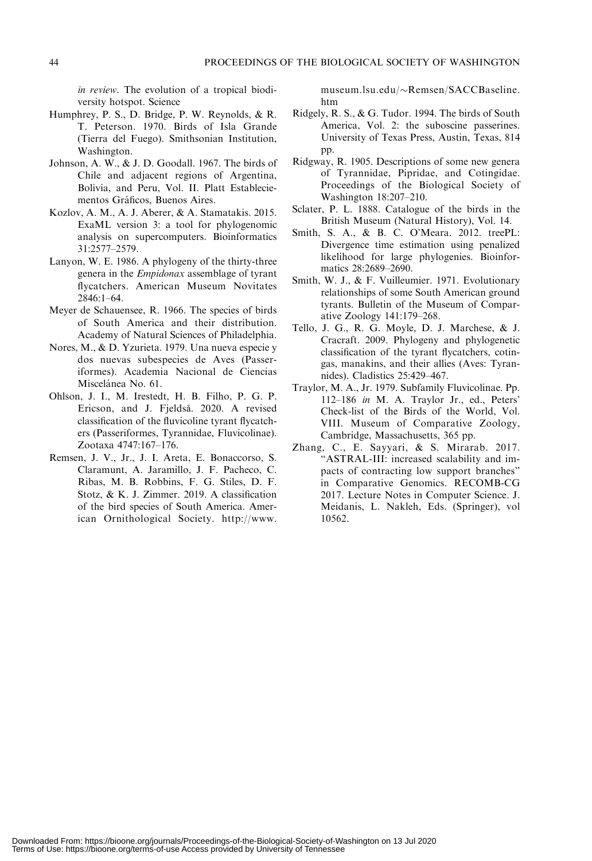in review. The evolution of a tropical biodiversity hotspot. Science

- Humphrey, P. S., D. Bridge, P. W. Reynolds, & R. T. Peterson. 1970. Birds of Isla Grande (Tierra del Fuego). Smithsonian Institution, Washington.
- Johnson, A. W., & J. D. Goodall. 1967. The birds of Chile and adjacent regions of Argentina, Bolivia, and Peru, Vol. II. Platt Estableciementos Gráficos, Buenos Aires.
- Kozlov, A. M., A. J. Aberer, & A. Stamatakis. 2015. ExaML version 3: a tool for phylogenomic analysis on supercomputers. Bioinformatics 31:2577–2579.
- Lanyon, W. E. 1986. A phylogeny of the thirty-three genera in the Empidonax assemblage of tyrant flycatchers. American Museum Novitates 2846:1–64.
- Meyer de Schauensee, R. 1966. The species of birds of South America and their distribution. Academy of Natural Sciences of Philadelphia.
- Nores, M., & D. Yzurieta. 1979. Una nueva especie y dos nuevas subespecies de Aves (Passeriformes). Academia Nacional de Ciencias Miscelánea No. 61.
- Ohlson, J. I., M. Irestedt, H. B. Filho, P. G. P. Ericson, and J. Fjeldså. 2020. A revised classification of the fluvicoline tyrant flycatchers (Passeriformes, Tyrannidae, Fluvicolinae). Zootaxa 4747:167–176.
- Remsen, J. V., Jr., J. I. Areta, E. Bonaccorso, S. Claramunt, A. Jaramillo, J. F. Pacheco, C. Ribas, M. B. Robbins, F. G. Stiles, D. F. Stotz, & K. J. Zimmer. 2019. A classification of the bird species of South America. American Ornithological Society. http://www.

museum.lsu.edu/~Remsen/SACCBaseline. htm

- Ridgely, R. S., & G. Tudor. 1994. The birds of South America, Vol. 2: the suboscine passerines. University of Texas Press, Austin, Texas, 814 pp.
- Ridgway, R. 1905. Descriptions of some new genera of Tyrannidae, Pipridae, and Cotingidae. Proceedings of the Biological Society of Washington 18:207–210.
- Sclater, P. L. 1888. Catalogue of the birds in the British Museum (Natural History), Vol. 14.
- Smith, S. A., & B. C. O'Meara. 2012. treePL: Divergence time estimation using penalized likelihood for large phylogenies. Bioinformatics 28:2689–2690.
- Smith, W. J., & F. Vuilleumier. 1971. Evolutionary relationships of some South American ground tyrants. Bulletin of the Museum of Comparative Zoology 141:179–268.
- Tello, J. G., R. G. Moyle, D. J. Marchese, & J. Cracraft. 2009. Phylogeny and phylogenetic classification of the tyrant flycatchers, cotingas, manakins, and their allies (Aves: Tyrannides). Cladistics 25:429–467.
- Traylor, M. A., Jr. 1979. Subfamily Fluvicolinae. Pp. 112–186 in M. A. Traylor Jr., ed., Peters' Check-list of the Birds of the World, Vol. VIII. Museum of Comparative Zoology, Cambridge, Massachusetts, 365 pp.
- Zhang, C., E. Sayyari, & S. Mirarab. 2017. ''ASTRAL-III: increased scalability and impacts of contracting low support branches'' in Comparative Genomics. RECOMB-CG 2017. Lecture Notes in Computer Science. J. Meidanis, L. Nakleh, Eds. (Springer), vol 10562.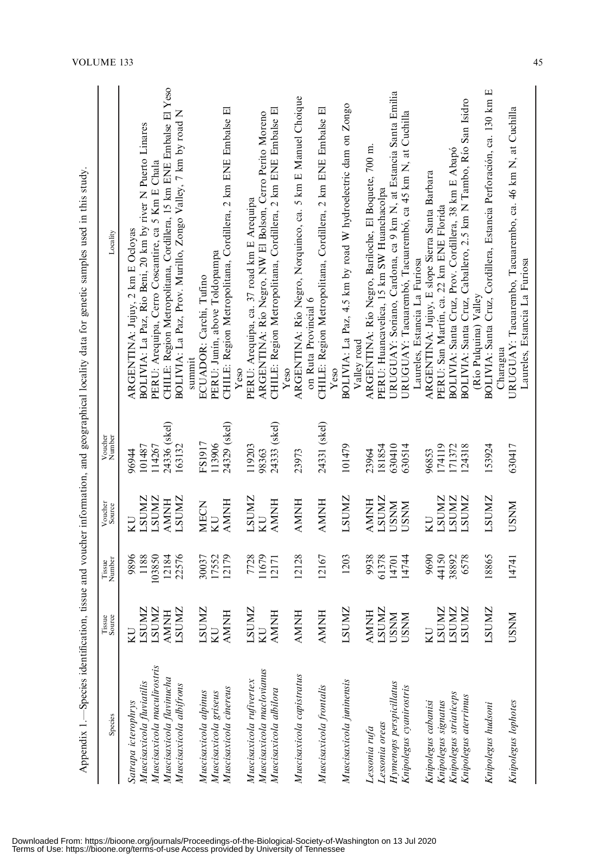|                                                          |                            |                  |                            |                   | Appendix 1. Species identification, tissue and voucher information, and geographical locality data for genetic samples used in this study. |
|----------------------------------------------------------|----------------------------|------------------|----------------------------|-------------------|--------------------------------------------------------------------------------------------------------------------------------------------|
| Species                                                  | Tissue<br>Source           | Tissue<br>Number | Voucher<br>Source          | Voucher<br>Number | Locality                                                                                                                                   |
| Satrapa icterophrys                                      | <b>LSUMZ</b><br>KU         | 1188<br>9896     | <b>LSUMZ</b><br>n          | 101487<br>96944   | BOLIVIA: La Paz, Rio Beni, 20 km by river N Puerto Linares<br>ARGENTINA: Jujuy, 2 km E Ocloyas                                             |
| Muscisaxicola maculirostris<br>Muscisaxicola fluviatilis | <b>LSUMZ</b>               | 103850           | <b>LSUMZ</b>               | 114267            | PERU: Arequipa, Cerro Coscantire, ca 5 Km E Chala                                                                                          |
| Muscisaxicola flavinucha                                 | <b>AMNH</b>                | 12184            | HNINN                      | 24336 (skel)      | CHILE: Region Metropolitana, Cordillera, 15 km ENE Embalse El Yeso                                                                         |
| Muscisaxicola albifrons                                  | <b>LSUMZ</b>               | 22576            | <b>LSUMZ</b>               | 163132            | BOLIVIA: La Paz, Prov. Murillo, Zongo Valley, 7 km by road N                                                                               |
|                                                          |                            |                  |                            |                   | summi                                                                                                                                      |
| Muscisaxicola alpinus                                    | LSUMZ                      | 30037            | MECN                       | FS1917            | ECUADOR: Carchi, Tufino                                                                                                                    |
| Muscisaxicola griseus                                    | KU                         | 17552            | <b>CIX</b>                 | 113906            | PERU: Junín, above Toldopampa                                                                                                              |
| Muscisaxicola cinereus                                   | <b>AMNH</b>                | 12179            | HNNNA                      | 24329 (skel)      | CHILE: Region Metropolitana, Cordillera, 2 km ENE Embalse El<br>Yeso                                                                       |
| Muscisaxicola rufivertex                                 | <b>LSUMZ</b>               | 7728             | <b>LSUMZ</b>               | 119203            | PERU: Arequipa, ca. 37 road km E Arequipa                                                                                                  |
| Muscisaxicola maclovianus                                | KU                         | 11679            | KU                         | 98363             | ARGENTINA: Río Negro, NW El Bolson, Cerro Perito Moreno                                                                                    |
| Muscisaxicola albilora                                   | <b>HNMV</b>                | 12171            | HNMA                       | 24333 (skel)      | CHILE: Region Metropolitana, Cordillera, 2 km ENE Embalse El                                                                               |
|                                                          |                            |                  |                            |                   | Yeso                                                                                                                                       |
| Muscisaxicola capistratus                                | <b>AMNH</b>                | 12128            | <b>HNINN</b>               | 23973             | ARGENTINA: Río Negro, Norquinco, ca. 5 km E Manuel Choique                                                                                 |
|                                                          |                            |                  |                            |                   | on Ruta Provincial 6                                                                                                                       |
| Muscisaxicola frontalis                                  | <b>AMNH</b>                | 12167            | HNNA                       | 24331 (skel)      | 囸<br>CHILE: Region Metropolitana, Cordillera, 2 km ENE Embalse<br>Yeso                                                                     |
| Muscisaxicola juninensis                                 | <b>LSUMZ</b>               | 1203             | <b>LSUMZ</b>               | 101479            | BOLIVIA: La Paz, 4.5 km by road W hydroelectric dam on Zongo                                                                               |
|                                                          |                            |                  |                            |                   | Valley road                                                                                                                                |
| Lessonia rufa                                            | <b>AMNH</b>                | 9938             | HNMY                       | 23964             | ARGENTINA: Río Negro, Bariloche, El Boquete, 700 m.                                                                                        |
| Lessonia oreas                                           | <b>LSUMZ</b>               | 61378            | <b>LSUMZ</b>               | 630410<br>181854  | PERU: Huancavelica, 15 km SW Huanchacolpa                                                                                                  |
| Hymenops perspicillatus                                  | <b>NNSC</b><br><b>USNM</b> | 14744<br>14701   | <b>NNSC</b><br><b>NNSU</b> | 630514            | URUGUAY: Soriano, Cardona, ca 9 km N, at Estancia Santa Emilia<br>URUGUAY: Tacuarembó, Tacuarembó, ca 45 km N, at Cuchilla                 |
| Knipolegus cyanirostris                                  |                            |                  |                            |                   | Laureles, Estancia La Furiosa                                                                                                              |
| Knipolegus cabanisi                                      | ΚU                         | 9690             | KU                         | 96853             | ARGENTINA: Jujuy, E slope Sierra Santa Barbara                                                                                             |
| Knipolegus signatus                                      | <b>LSUMZ</b>               | 44150            | <b>LSUMZ</b>               | 174119            | PERU: San Martín, ca. 22 km ENE Florida                                                                                                    |
| Knipolegus striaticeps                                   | <b>LSUMZ</b>               | 38892            | <b>LSUMZ</b>               | 171372            | BOLIVIA: Santa Cruz, Prov. Cordillera, 38 km E Abapó                                                                                       |
| Knipolegus aterrimus                                     | <b>LSUMZ</b>               | 6578             | <b>LSUMZ</b>               | 124318            | BOLIVIA: Santa Cruz, Caballero, 2.5 km N Tambo, Río San Isidro                                                                             |
| Knipolegus hudsoni                                       | <b>LSUMZ</b>               | 18865            | <b>LSUMZ</b>               | 153924            | BOLIVIA: Santa Cruz, Cordillera, Estancia Perforación, ca. 130 km E<br>(Río Pulquina) Valley                                               |
|                                                          |                            |                  |                            |                   | Charagua                                                                                                                                   |
| Knipolegus lophotes                                      | <b>USNM</b>                | 14741            | <b>USNM</b>                | 630417            | URUGUAY: Tacuarembo, Tacuarembo, ca. 46 km N, at Cuchilla<br>Laureles, Estancia La Furiosa                                                 |

Downloaded From: https://bioone.org/journals/Proceedings-of-the-Biological-Society-of-Washington on 13 Jul 2020<br>Terms of Use: https://bioone.org/terms-of-use Access provided by University of Tennessee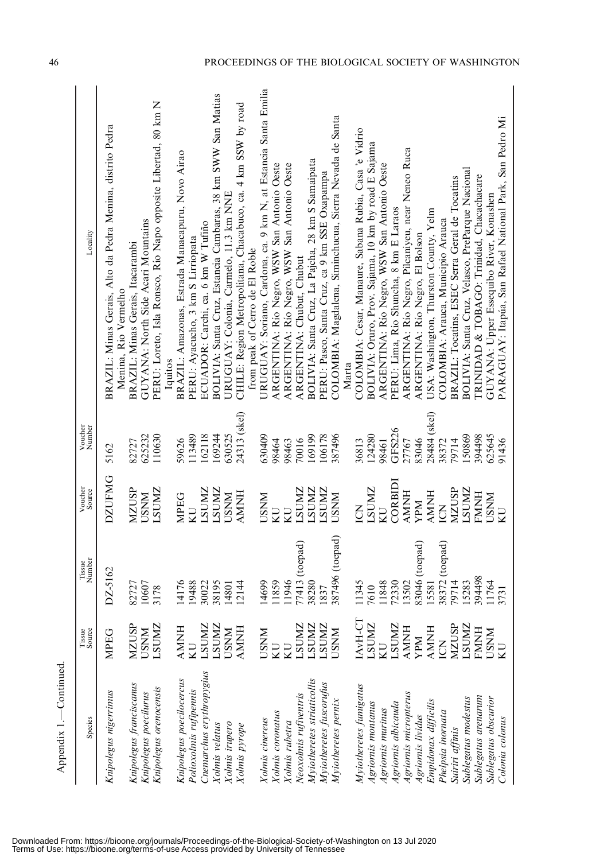| Appendix 1.-Continued                   |                   |                  |                          |                   |                                                                                                     |
|-----------------------------------------|-------------------|------------------|--------------------------|-------------------|-----------------------------------------------------------------------------------------------------|
| Species                                 | Tissue<br>Source  | Tissue<br>Number | Voucher<br>Source        | Voucher<br>Number | Locality                                                                                            |
| Knipolegus nigerrimus                   | MPEG              | DZ-5162          | <b>DZUFMG</b>            | 5162              | BRAZIL: Minas Gerais, Alto da Pedra Menina, distrito Pedra<br>Menina, Rio Vermelho                  |
| Knipolegus franciscanus                 | <b>MZUSP</b>      | 82727            | <b>NZUSP</b>             | 82727             | BRAZIL: Minas Gerais, Itacarambi                                                                    |
| Knipolegus poecilurus                   | <b>USNM</b>       | 10607            | <b>USNM</b>              | 625232            | GUYANA: North Side Acari Mountains                                                                  |
| Knipolegus orenocensis                  | <b>LSUMZ</b>      | 3178             | <b>LSUMZ</b>             | 110630            | PERU: Loreto, Isla Ronsco, Río Napo opposite Libertad, 80 km N<br>Iquitos                           |
| Knipolegus poecilocercus                | <b>AMNH</b>       | 14176            | <b>MPEG</b>              | 59626             | BRAZIL: Amazonas, Estrada Manacapuru, Novo Airao                                                    |
| Polioxolmis rufipennis                  | KU                | 19488            | KU                       | 113489            | PERU: Ayacucho, 3 km S Lirriopata                                                                   |
| Cnemarchus erythropygius                | <b>LSUMZ</b>      | 30022            | <b>ZNIUS</b>             | 162118            | ECUADOR: Carchi, ca. 6 km W Tufiño                                                                  |
| Xolmis velatus                          | <b>LSUMZ</b>      | 38195            | <b>ZNUNZ</b>             | 169244            | BOLIVIA: Santa Cruz, Estancia Cambaras, 38 km SWW San Matias                                        |
| Xolmis irupero                          | <b>USNM</b>       | 14801            | <b>NNSC</b>              | 630525            | URUGUAY: Colonia, Carmelo, 11.3 km NNE                                                              |
| Xolmis pyrope                           | <b>AMNH</b>       | 12144            | <b>AMNH</b>              | 24313 (skel)      | CHILE: Region Metropolitana, Chacabuco, ca. 4 km SSW by road                                        |
|                                         |                   |                  |                          |                   | from peak of Cerro de El Roble                                                                      |
| Xolmis cinereus                         | <b>USNM</b>       | 14699            | <b>USNM</b>              | 630409            | URUGUAY: Soriano, Cardona, ca. 9 km N, at Estancia Santa Emilia                                     |
| Xolmis coronatus                        | ZЛ                | 11859            | <b>EN</b>                | 98464             | ARGENTINA: Río Negro, WSW San Antonio Oeste                                                         |
| Xolmis rubetra                          | <b>IN</b>         | 11946            | <b>UN</b>                | 98463             | ARGENTINA: Rio Negro, WSW San Antonio Oeste                                                         |
| Neoxolmis rufiventris                   | <b>LSUMZ</b>      | 77413 (toepad)   | <b>LSUMZ</b>             | 70016             | ARGENTINA: Chubut, Chubut                                                                           |
| Myiotheretes striaticollis              | <b>LSUMZ</b>      | 38280            | <b>ZINITS</b>            | 169199            | BOLIVIA: Santa Cruz, La Pajcha, 28 km S Samaipata                                                   |
| Myiotheretes fuscorufus                 | <b>ZNIDS</b>      | 1837             | LSUMZ                    | 106178            | PERU: Pasco, Santa Cruz, ca 9 km SSE Oxapampa                                                       |
| Myiotheretes pernix                     | <b>USNM</b>       | 387496 (toepad)  | <b>NNSC</b>              | 387496            | COLOMBIA: Magdalena, Siminchucua, Sierra Nevada de Santa                                            |
|                                         |                   |                  |                          |                   | Marta                                                                                               |
| Myiotheretes fumigatus                  | IAvH-CT           | 11345            | KOI                      | 36813             | COLOMBIA: Cesar, Manaure, Sabana Rubia, Casa 'e Vidrio                                              |
| Agriornis montanus                      | <b>LSUMZ</b>      | 7610             | <b>ZNUNZ</b>             | 124280            | BOLIVIA: Oruro, Prov. Sajama, 10 km by road E Sajama                                                |
| Agriornis murinus                       | KU                | 11848            | KU                       | 98461             | ARGENTINA: Río Negro, WSW San Antonio Oeste                                                         |
| Agriornis albicauda                     | <b>LSUMZ</b>      | 72330            | CORBIDI                  | GFS226            | PERU: Lima, Rio Shuncha, 8 km E Laraos                                                              |
| Agriornis micropterus                   | <b>AMNH</b>       | 13502            | <b>HNINN</b>             | 27767             | ARGENTINA: Río Negro, Pilcaniyeu, near Neneo Ruca                                                   |
| Agriornis lividus                       | YPM               | 83046 (toepad)   | <b>NdA</b>               | 83046             | ARGENTINA: Río Negro, El Bolson                                                                     |
| Empidonax difficilis                    | <b>AMNH</b>       | 15581            | <b>AMNH</b>              | 28484 (skel)      | USA: Washington, Thurston County, Yelm                                                              |
| Phelpsia inornata                       | E                 | 38372 (toepad)   | ICN                      | 38372             | COLOMBIA: Arauca, Municipio Arauca                                                                  |
| Suiriri affinis                         | <b>MZUSP</b>      | 79714            | <b>MZUSP</b>             | 79714             | BRAZIL: Tocatins, ESEC Serra Geral de Tocatins                                                      |
| Sublegatus modestus                     | <b>LSUMZ</b>      | 15283            | <b>LSUMZ</b>             | 150869            | BOLIVIA: Santa Cruz, Velasco, PreParque Nacional                                                    |
| Sublegatus arenarum                     | <b>FMNH</b>       | 394498           | <b>FMNH</b>              | 394498            | TRINIDAD & TOBAGO: Trinidad, Chacachacare                                                           |
| Sublegatus obscurior<br>Colonia colonus | <b>USNM</b><br>KU | 11764<br>3731    | <b>NNSC</b><br><b>UN</b> | 625645<br>91436   | PARAGUAY: Itapúa, San Rafael National Park, San Pedro Mi<br>GUYANA: Upper Essequibo River, Konashen |
|                                         |                   |                  |                          |                   |                                                                                                     |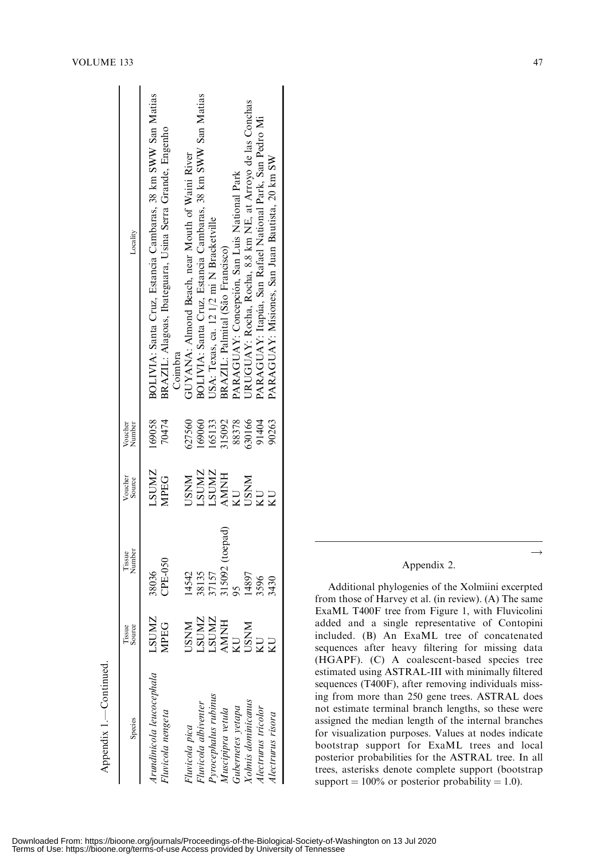| Species                          | Tissue<br>Source       | Tissue<br>Number | Voucher<br>Source | Voucher<br>Number | Locality                                                     |
|----------------------------------|------------------------|------------------|-------------------|-------------------|--------------------------------------------------------------|
| Arundinicola leucocephala        | <b>LSUMZ</b>           | 38036            | <b>LSUMZ</b>      | 169058            | BOLIVIA: Santa Cruz, Estancia Cambaras, 38 km SWW San Matias |
| Fluvicola nengeta                | <b>MPEG</b>            | <b>CPE-050</b>   | <b>MPEG</b>       | 70474             | BRAZIL: Alagoas, Ibateguara, Usina Serra Grande, Engenho     |
|                                  |                        |                  |                   |                   | Coimbra                                                      |
| Fluvicola pica                   | <b>NNSC</b>            | 14542            | <b>USNM</b>       | 627560            | GUYANA: Almond Beach, near Mouth of Waini River              |
| luvicola albiventer              |                        |                  | <b>LSUMZ</b>      | 169060            | BOLIVIA: Santa Cruz, Estancia Cambaras, 38 km SWW San Matias |
| <sup>D</sup> yrocephalus rubinus |                        | 38135<br>37157   | <b>LSUMZ</b>      | 165133            | JSA: Texas, ca. 12 1/2 mi N Bracketville                     |
| Muscipipra vetula                | LSUMZ<br>LSUMZ<br>AMNH | 315092 (toepad)  | <b>AMNH</b>       | 315092            | BRAZIL: Palmital (São Francisco)                             |
| Gubernetes yetapa                | $\overline{C}$         |                  | KU                | 88378             | PARAGUAY: Concepción, San Luis National Park                 |
| <b>Yolmis</b> dominicanus        | <b>USNM</b>            | 14897            | <b>NNSU</b>       | 630166            | JRUGUAY: Rocha, Rocha, 8.8 km NE, at Arroyo de las Conchas   |
| llectrurus tricolor              |                        | 3596             | <b>UN</b>         | 91404             | PARAGUAY: Itapúa, San Rafael National Park, San Pedro Mi     |
| Alectrurus risora                |                        | 3430             |                   | 90263             | PARAGUAY: Misiones, San Juan Bautista, 20 km SW              |
|                                  |                        |                  |                   |                   |                                                              |

## Appendix 2.

Additional phylogenies of the Xolmiini excerpted from those of Harvey et al. (in review). (A) The same ExaML T400F tree from Figure 1, with Fluvicolini added and a single representative of Contopini included. (B) An ExaML tree of concatenated sequences after heavy filtering for missing data (HGAPF). (C) A coalescent-based species tree estimated using ASTRAL-III with minimally filtered sequences (T400F), after removing individuals missing from more than 250 gene trees. ASTRAL does not estimate terminal branch lengths, so these were assigned the median length of the internal branches for visualization purposes. Values at nodes indicate bootstrap support for ExaML trees and local posterior probabilities for the ASTRAL tree. In all trees, asterisks denote complete support (bootstrap support  $= 100\%$  or posterior probability  $= 1.0$ ).

Appendix 1.—Continued.

Appendix 1.-Continued.

 $\rightarrow$